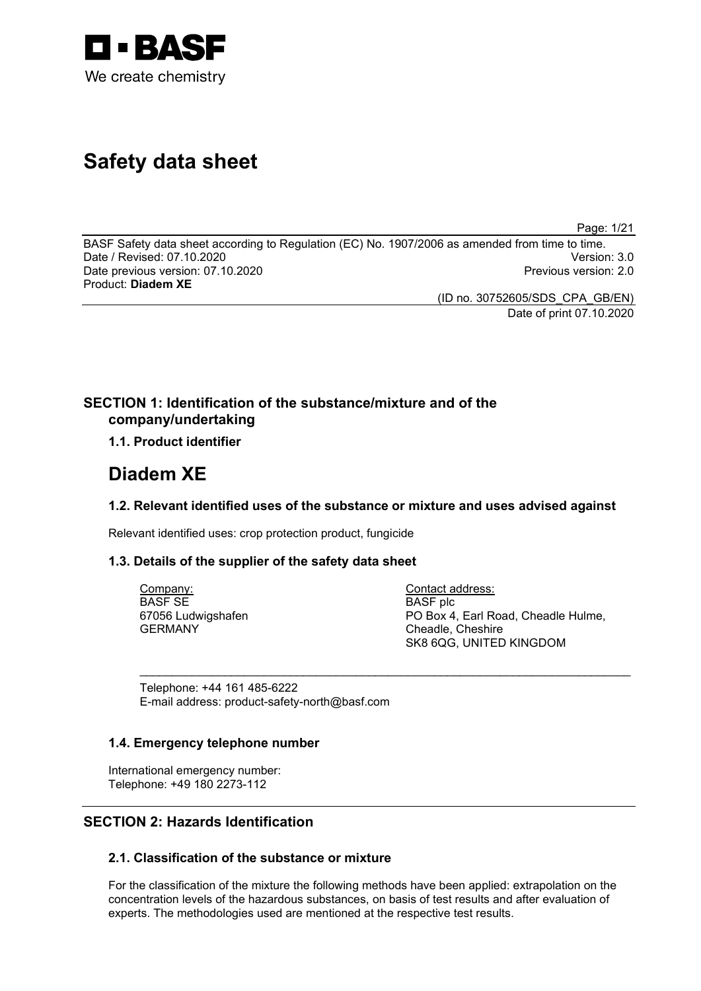

# **Safety data sheet**

Page: 1/21

BASF Safety data sheet according to Regulation (EC) No. 1907/2006 as amended from time to time. Date / Revised: 07.10.2020 Version: 3.0 Date previous version: 07.10.2020 Product: **Diadem XE**

> (ID no. 30752605/SDS\_CPA\_GB/EN) Date of print 07.10.2020

## **SECTION 1: Identification of the substance/mixture and of the company/undertaking**

## **1.1. Product identifier**

## **Diadem XE**

## **1.2. Relevant identified uses of the substance or mixture and uses advised against**

\_\_\_\_\_\_\_\_\_\_\_\_\_\_\_\_\_\_\_\_\_\_\_\_\_\_\_\_\_\_\_\_\_\_\_\_\_\_\_\_\_\_\_\_\_\_\_\_\_\_\_\_\_\_\_\_\_\_\_\_\_\_\_\_\_\_\_\_\_\_\_\_\_\_\_

Relevant identified uses: crop protection product, fungicide

#### **1.3. Details of the supplier of the safety data sheet**

Company: BASF SE 67056 Ludwigshafen GERMANY

Contact address: BASF plc PO Box 4, Earl Road, Cheadle Hulme, Cheadle, Cheshire SK8 6QG, UNITED KINGDOM

Telephone: +44 161 485-6222 E-mail address: product-safety-north@basf.com

#### **1.4. Emergency telephone number**

International emergency number: Telephone: +49 180 2273-112

## **SECTION 2: Hazards Identification**

## **2.1. Classification of the substance or mixture**

For the classification of the mixture the following methods have been applied: extrapolation on the concentration levels of the hazardous substances, on basis of test results and after evaluation of experts. The methodologies used are mentioned at the respective test results.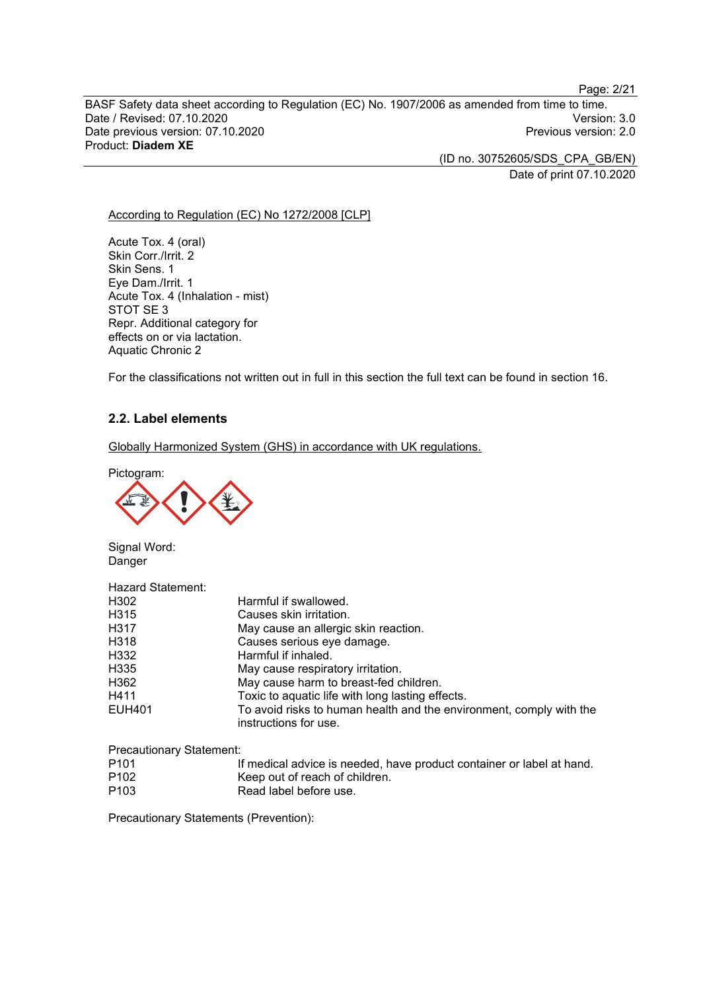Page: 2/21

BASF Safety data sheet according to Regulation (EC) No. 1907/2006 as amended from time to time. Date / Revised: 07.10.2020<br>Date previous version: 07.10.2020 Version: 3.0 Date previous version: 07.10.2020 Product: **Diadem XE**

> (ID no. 30752605/SDS\_CPA\_GB/EN) Date of print 07.10.2020

#### According to Regulation (EC) No 1272/2008 [CLP]

Acute Tox. 4 (oral) Skin Corr./Irrit. 2 Skin Sens. 1 Eye Dam./Irrit. 1 Acute Tox. 4 (Inhalation - mist) STOT SE 3 Repr. Additional category for effects on or via lactation. Aquatic Chronic 2

For the classifications not written out in full in this section the full text can be found in section 16.

## **2.2. Label elements**

Globally Harmonized System (GHS) in accordance with UK regulations.

Pictogram:



Signal Word: Danger

| Hazard Statement: |                                                                                              |
|-------------------|----------------------------------------------------------------------------------------------|
| H302              | Harmful if swallowed.                                                                        |
| H315              | Causes skin irritation.                                                                      |
| H317              | May cause an allergic skin reaction.                                                         |
| H318              | Causes serious eye damage.                                                                   |
| H332              | Harmful if inhaled.                                                                          |
| H335              | May cause respiratory irritation.                                                            |
| H362              | May cause harm to breast-fed children.                                                       |
| H411              | Toxic to aquatic life with long lasting effects.                                             |
| EUH401            | To avoid risks to human health and the environment, comply with the<br>instructions for use. |

Precautionary Statement:

| P <sub>101</sub> | If medical advice is needed, have product container or label at hand. |
|------------------|-----------------------------------------------------------------------|
| P <sub>102</sub> | Keep out of reach of children.                                        |
| P <sub>103</sub> | Read label before use.                                                |

Precautionary Statements (Prevention):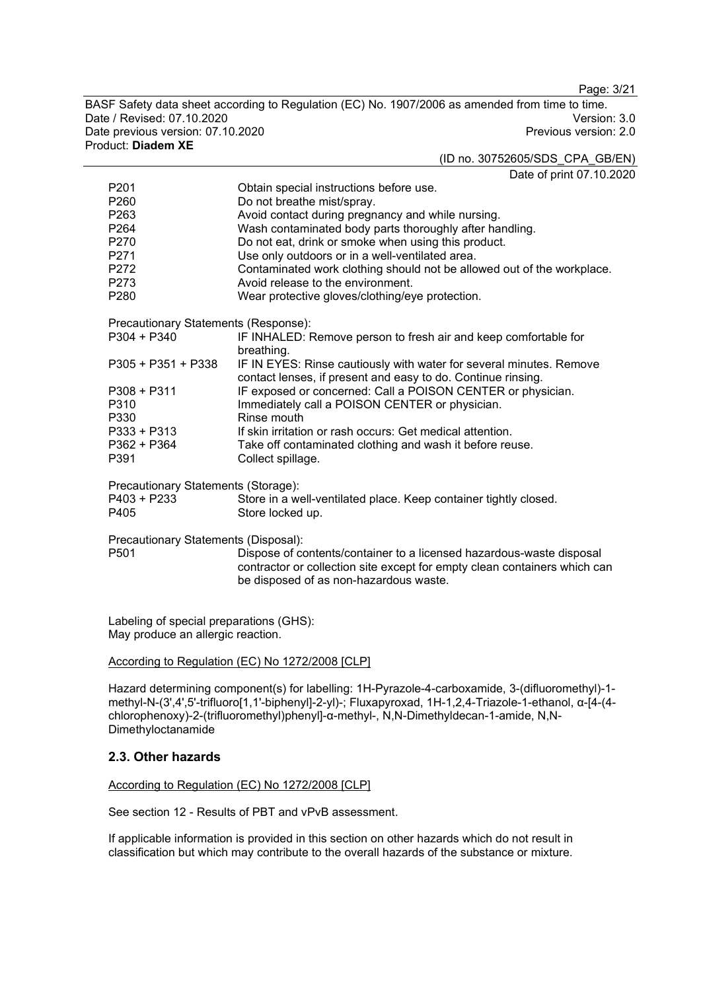Page: 3/21

BASF Safety data sheet according to Regulation (EC) No. 1907/2006 as amended from time to time. Date / Revised: 07.10.2020<br>Date previous version: 07.10.2020 Version: 3.0 Date previous version: 07.10.2020 Product: **Diadem XE**

#### (ID no. 30752605/SDS\_CPA\_GB/EN)

Date of print 07.10.2020

|                                      | Dale of print of To.20                                                    |
|--------------------------------------|---------------------------------------------------------------------------|
| P <sub>201</sub>                     | Obtain special instructions before use.                                   |
| P260                                 | Do not breathe mist/spray.                                                |
| P263                                 | Avoid contact during pregnancy and while nursing.                         |
| P <sub>264</sub>                     | Wash contaminated body parts thoroughly after handling.                   |
| P270                                 | Do not eat, drink or smoke when using this product.                       |
| P271                                 | Use only outdoors or in a well-ventilated area.                           |
| P272                                 | Contaminated work clothing should not be allowed out of the workplace.    |
| P <sub>273</sub>                     | Avoid release to the environment.                                         |
| P280                                 | Wear protective gloves/clothing/eye protection.                           |
| Precautionary Statements (Response): |                                                                           |
| P304 + P340                          | IF INHALED: Remove person to fresh air and keep comfortable for           |
|                                      | breathing.                                                                |
| $P305 + P351 + P338$                 | IF IN EYES: Rinse cautiously with water for several minutes. Remove       |
|                                      | contact lenses, if present and easy to do. Continue rinsing.              |
| $P308 + P311$                        | IF exposed or concerned: Call a POISON CENTER or physician.               |
| P310                                 | Immediately call a POISON CENTER or physician.                            |
| P330                                 | Rinse mouth                                                               |
| $P333 + P313$                        | If skin irritation or rash occurs: Get medical attention.                 |
| $P362 + P364$                        | Take off contaminated clothing and wash it before reuse.                  |
| P391                                 | Collect spillage.                                                         |
| Precautionary Statements (Storage):  |                                                                           |
| $P403 + P233$                        | Store in a well-ventilated place. Keep container tightly closed.          |
| P405                                 | Store locked up.                                                          |
| Precautionary Statements (Disposal): |                                                                           |
| P <sub>501</sub>                     | Dispose of contents/container to a licensed hazardous-waste disposal      |
|                                      | contractor or collection site except for empty clean containers which can |
|                                      | be disposed of as non-hazardous waste.                                    |
|                                      |                                                                           |

Labeling of special preparations (GHS): May produce an allergic reaction.

#### According to Regulation (EC) No 1272/2008 [CLP]

Hazard determining component(s) for labelling: 1H-Pyrazole-4-carboxamide, 3-(difluoromethyl)-1 methyl-N-(3',4',5'-trifluoro[1,1'-biphenyl]-2-yl)-; Fluxapyroxad, 1H-1,2,4-Triazole-1-ethanol, α-[4-(4 chlorophenoxy)-2-(trifluoromethyl)phenyl]-α-methyl-, N,N-Dimethyldecan-1-amide, N,N-Dimethyloctanamide

#### **2.3. Other hazards**

#### According to Regulation (EC) No 1272/2008 [CLP]

See section 12 - Results of PBT and vPvB assessment.

If applicable information is provided in this section on other hazards which do not result in classification but which may contribute to the overall hazards of the substance or mixture.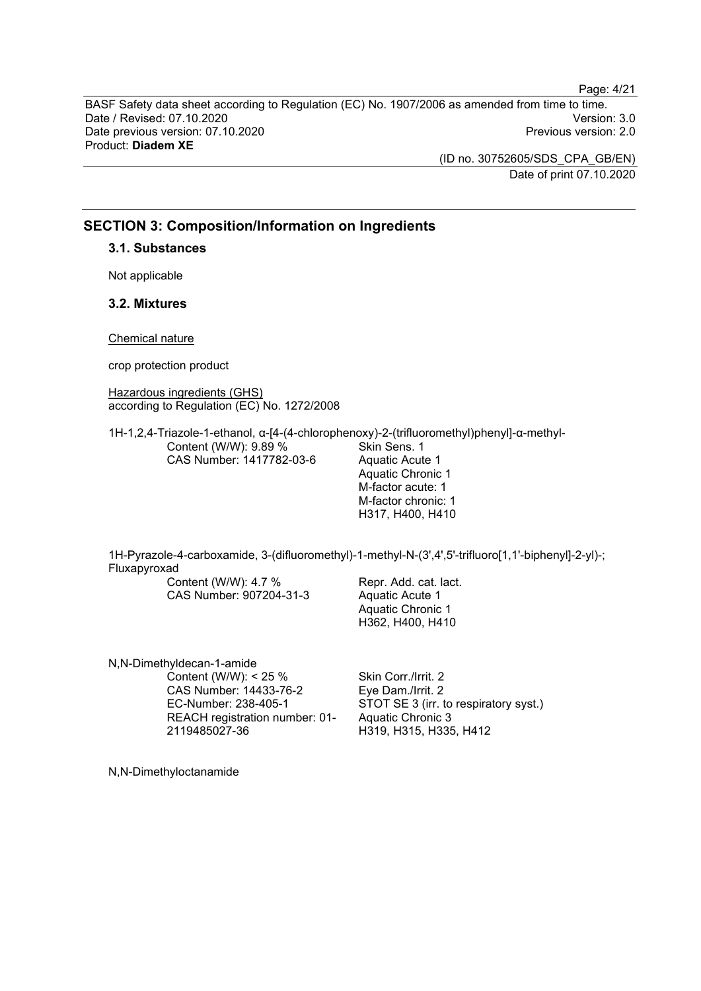BASF Safety data sheet according to Regulation (EC) No. 1907/2006 as amended from time to time. Date / Revised: 07.10.2020 Version: 3.0 Date previous version: 07.10.2020 Product: **Diadem XE**

> (ID no. 30752605/SDS\_CPA\_GB/EN) Date of print 07.10.2020

Page: 4/21

## **SECTION 3: Composition/Information on Ingredients**

**3.1. Substances**

Not applicable

## **3.2. Mixtures**

Chemical nature

crop protection product

Hazardous ingredients (GHS) according to Regulation (EC) No. 1272/2008

1H-1,2,4-Triazole-1-ethanol, α-[4-(4-chlorophenoxy)-2-(trifluoromethyl)phenyl]-α-methyl-Content (W/W): 9.89 % CAS Number: 1417782-03-6 Skin Sens. 1 Aquatic Acute 1

Aquatic Chronic 1 M-factor acute: 1 M-factor chronic: 1 H317, H400, H410

1H-Pyrazole-4-carboxamide, 3-(difluoromethyl)-1-methyl-N-(3',4',5'-trifluoro[1,1'-biphenyl]-2-yl)-; Fluxapyroxad

Content (W/W): 4.7 % CAS Number: 907204-31-3 Repr. Add. cat. lact. Aquatic Acute 1 Aquatic Chronic 1 H362, H400, H410

N,N-Dimethyldecan-1-amide Content (W/W): < 25 % CAS Number: 14433-76-2 EC-Number: 238-405-1 REACH registration number: 01- 2119485027-36

Skin Corr./Irrit. 2 Eye Dam./Irrit. 2 STOT SE 3 (irr. to respiratory syst.) Aquatic Chronic 3 H319, H315, H335, H412

N,N-Dimethyloctanamide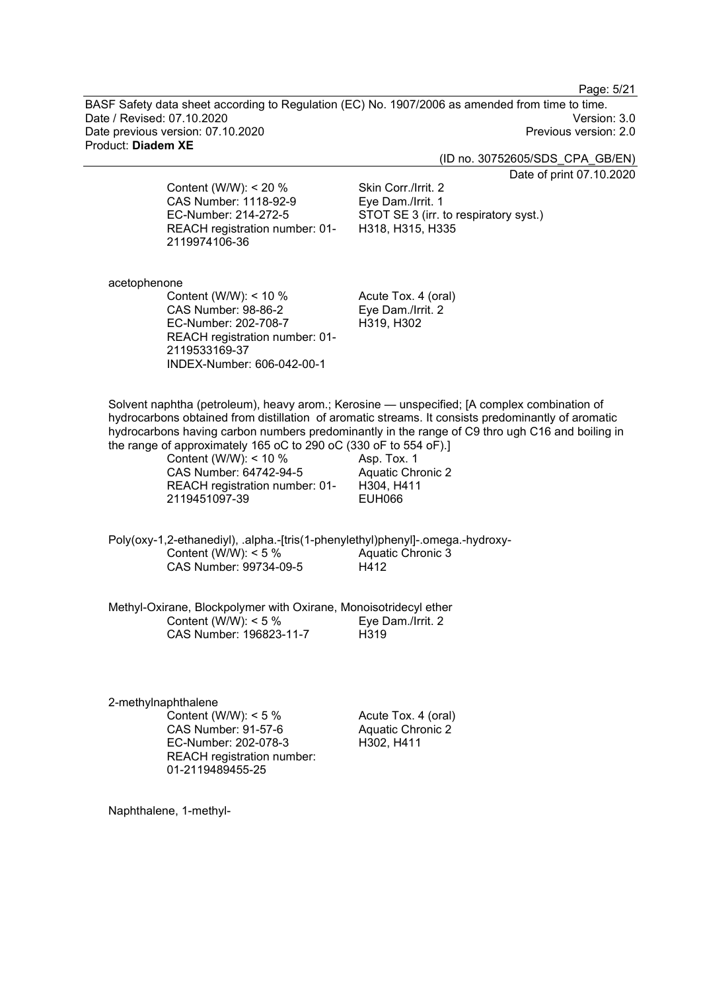Page: 5/21

BASF Safety data sheet according to Regulation (EC) No. 1907/2006 as amended from time to time. Date / Revised: 07.10.2020<br>Date previous version: 07.10.2020 Version: 3.0 Date previous version: 07.10.2020 Product: **Diadem XE**

(ID no. 30752605/SDS\_CPA\_GB/EN)

Date of print 07.10.2020

Content (W/W): < 20 % CAS Number: 1118-92-9 EC-Number: 214-272-5 REACH registration number: 01- 2119974106-36

Skin Corr./Irrit. 2 Eye Dam./Irrit. 1 STOT SE 3 (irr. to respiratory syst.) H318, H315, H335

acetophenone

Content (W/W): < 10 % CAS Number: 98-86-2 EC-Number: 202-708-7 REACH registration number: 01- 2119533169-37 INDEX-Number: 606-042-00-1

Acute Tox. 4 (oral) Eye Dam./Irrit. 2 H319, H302

Solvent naphtha (petroleum), heavy arom.; Kerosine — unspecified; [A complex combination of hydrocarbons obtained from distillation of aromatic streams. It consists predominantly of aromatic hydrocarbons having carbon numbers predominantly in the range of C9 thro ugh C16 and boiling in the range of approximately 165 oC to 290 oC (330 oF to 554 oF).]

> Content (W/W): < 10 % CAS Number: 64742-94-5 REACH registration number: 01- 2119451097-39

Asp. Tox. 1 Aquatic Chronic 2 H304, H411 EUH066

Poly(oxy-1,2-ethanediyl), .alpha.-[tris(1-phenylethyl)phenyl]-.omega.-hydroxy-Content (W/W):  $< 5 \%$ CAS Number: 99734-09-5 Aquatic Chronic 3 H412

Methyl-Oxirane, Blockpolymer with Oxirane, Monoisotridecyl ether Content (W/W): < 5 % CAS Number: 196823-11-7 Eye Dam./Irrit. 2 H319

2-methylnaphthalene Content (W/W):  $< 5 \%$ CAS Number: 91-57-6 EC-Number: 202-078-3 REACH registration number: 01-2119489455-25

Acute Tox. 4 (oral) Aquatic Chronic 2 H302, H411

Naphthalene, 1-methyl-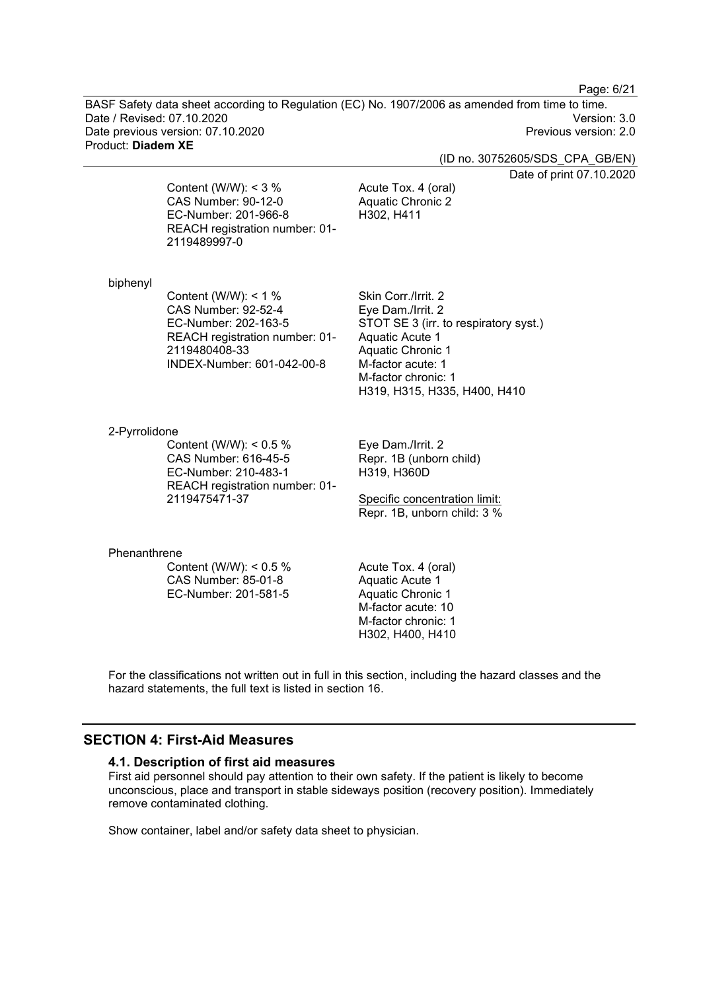Page: 6/21

BASF Safety data sheet according to Regulation (EC) No. 1907/2006 as amended from time to time. Date / Revised: 07.10.2020 Version: 3.0 Date previous version: 07.10.2020 Product: **Diadem XE**

(ID no. 30752605/SDS\_CPA\_GB/EN)

Date of print 07.10.2020

Content (W/W):  $<$  3 % CAS Number: 90-12-0 EC-Number: 201-966-8 REACH registration number: 01- 2119489997-0

Acute Tox. 4 (oral) Aquatic Chronic 2 H302, H411

#### biphenyl

Content (W/W): < 1 % CAS Number: 92-52-4 EC-Number: 202-163-5 REACH registration number: 01- 2119480408-33 INDEX-Number: 601-042-00-8

Skin Corr./Irrit. 2 Eye Dam./Irrit. 2 STOT SE 3 (irr. to respiratory syst.) Aquatic Acute 1 Aquatic Chronic 1 M-factor acute: 1 M-factor chronic: 1 H319, H315, H335, H400, H410

#### 2-Pyrrolidone

Content (W/W): < 0.5 % CAS Number: 616-45-5 EC-Number: 210-483-1 REACH registration number: 01- 2119475471-37

Eye Dam./Irrit. 2 Repr. 1B (unborn child) H319, H360D

Specific concentration limit: Repr. 1B, unborn child: 3 %

#### Phenanthrene

Content (W/W): < 0.5 % CAS Number: 85-01-8 EC-Number: 201-581-5

Acute Tox. 4 (oral) Aquatic Acute 1 Aquatic Chronic 1 M-factor acute: 10 M-factor chronic: 1 H302, H400, H410

For the classifications not written out in full in this section, including the hazard classes and the hazard statements, the full text is listed in section 16.

## **SECTION 4: First-Aid Measures**

#### **4.1. Description of first aid measures**

First aid personnel should pay attention to their own safety. If the patient is likely to become unconscious, place and transport in stable sideways position (recovery position). Immediately remove contaminated clothing.

Show container, label and/or safety data sheet to physician.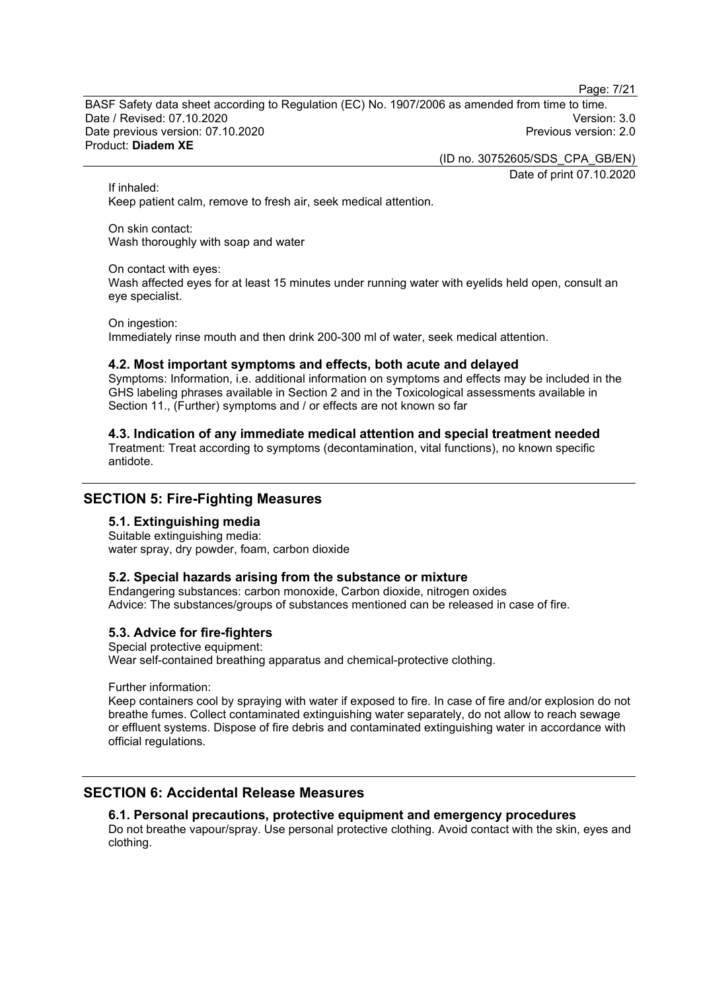Page: 7/21

BASF Safety data sheet according to Regulation (EC) No. 1907/2006 as amended from time to time. Date / Revised: 07.10.2020 Version: 3.0 Date previous version: 07.10.2020 Product: **Diadem XE**

> (ID no. 30752605/SDS\_CPA\_GB/EN) Date of print 07.10.2020

If inhaled:

Keep patient calm, remove to fresh air, seek medical attention.

On skin contact: Wash thoroughly with soap and water

#### On contact with eyes:

Wash affected eyes for at least 15 minutes under running water with eyelids held open, consult an eye specialist.

On ingestion:

Immediately rinse mouth and then drink 200-300 ml of water, seek medical attention.

#### **4.2. Most important symptoms and effects, both acute and delayed**

Symptoms: Information, i.e. additional information on symptoms and effects may be included in the GHS labeling phrases available in Section 2 and in the Toxicological assessments available in Section 11., (Further) symptoms and / or effects are not known so far

## **4.3. Indication of any immediate medical attention and special treatment needed**

Treatment: Treat according to symptoms (decontamination, vital functions), no known specific antidote.

## **SECTION 5: Fire-Fighting Measures**

#### **5.1. Extinguishing media**

Suitable extinguishing media: water spray, dry powder, foam, carbon dioxide

#### **5.2. Special hazards arising from the substance or mixture**

Endangering substances: carbon monoxide, Carbon dioxide, nitrogen oxides Advice: The substances/groups of substances mentioned can be released in case of fire.

#### **5.3. Advice for fire-fighters**

Special protective equipment: Wear self-contained breathing apparatus and chemical-protective clothing.

Further information:

Keep containers cool by spraying with water if exposed to fire. In case of fire and/or explosion do not breathe fumes. Collect contaminated extinguishing water separately, do not allow to reach sewage or effluent systems. Dispose of fire debris and contaminated extinguishing water in accordance with official regulations.

## **SECTION 6: Accidental Release Measures**

#### **6.1. Personal precautions, protective equipment and emergency procedures**

Do not breathe vapour/spray. Use personal protective clothing. Avoid contact with the skin, eyes and clothing.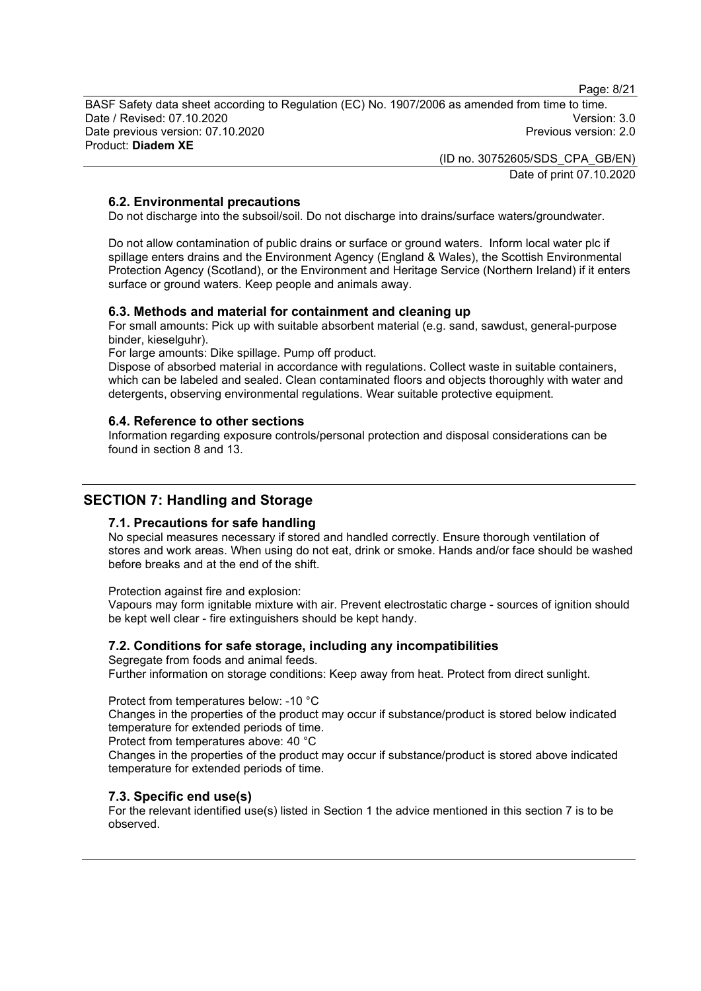Page: 8/21

BASF Safety data sheet according to Regulation (EC) No. 1907/2006 as amended from time to time. Date / Revised: 07.10.2020 Version: 3.0 Date previous version: 07.10.2020 Product: **Diadem XE**

> (ID no. 30752605/SDS\_CPA\_GB/EN) Date of print 07.10.2020

## **6.2. Environmental precautions**

Do not discharge into the subsoil/soil. Do not discharge into drains/surface waters/groundwater.

Do not allow contamination of public drains or surface or ground waters. Inform local water plc if spillage enters drains and the Environment Agency (England & Wales), the Scottish Environmental Protection Agency (Scotland), or the Environment and Heritage Service (Northern Ireland) if it enters surface or ground waters. Keep people and animals away.

#### **6.3. Methods and material for containment and cleaning up**

For small amounts: Pick up with suitable absorbent material (e.g. sand, sawdust, general-purpose binder, kieselguhr).

For large amounts: Dike spillage. Pump off product.

Dispose of absorbed material in accordance with regulations. Collect waste in suitable containers, which can be labeled and sealed. Clean contaminated floors and objects thoroughly with water and detergents, observing environmental regulations. Wear suitable protective equipment.

#### **6.4. Reference to other sections**

Information regarding exposure controls/personal protection and disposal considerations can be found in section 8 and 13.

## **SECTION 7: Handling and Storage**

#### **7.1. Precautions for safe handling**

No special measures necessary if stored and handled correctly. Ensure thorough ventilation of stores and work areas. When using do not eat, drink or smoke. Hands and/or face should be washed before breaks and at the end of the shift.

Protection against fire and explosion:

Vapours may form ignitable mixture with air. Prevent electrostatic charge - sources of ignition should be kept well clear - fire extinguishers should be kept handy.

#### **7.2. Conditions for safe storage, including any incompatibilities**

Segregate from foods and animal feeds. Further information on storage conditions: Keep away from heat. Protect from direct sunlight.

#### Protect from temperatures below: -10 °C

Changes in the properties of the product may occur if substance/product is stored below indicated temperature for extended periods of time.

Protect from temperatures above: 40 °C

Changes in the properties of the product may occur if substance/product is stored above indicated temperature for extended periods of time.

#### **7.3. Specific end use(s)**

For the relevant identified use(s) listed in Section 1 the advice mentioned in this section 7 is to be observed.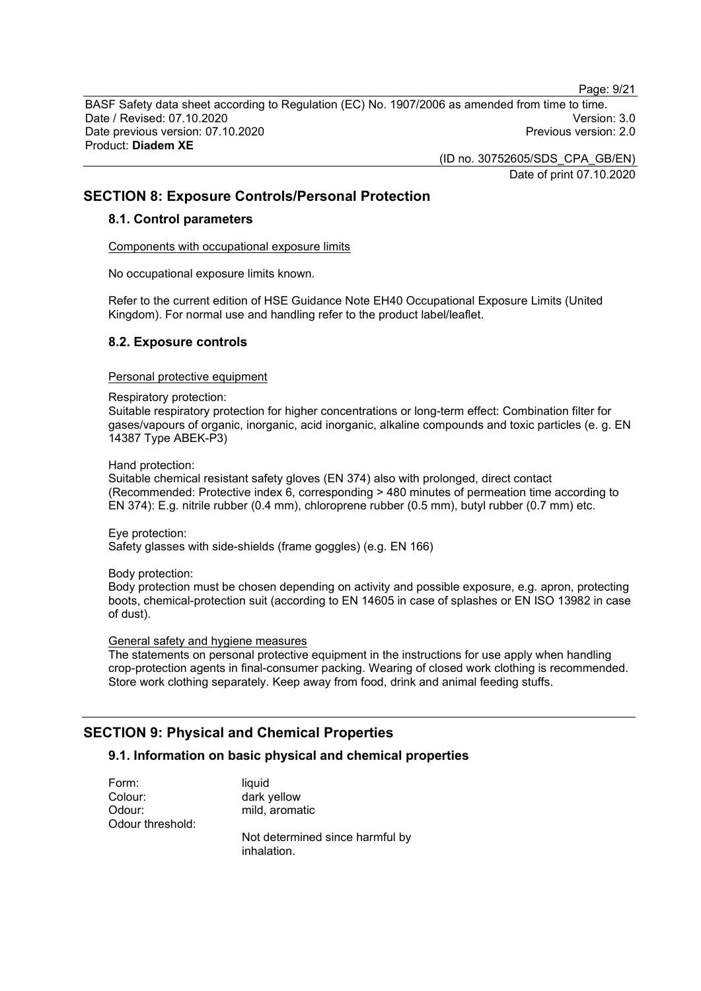Page: 9/21

BASF Safety data sheet according to Regulation (EC) No. 1907/2006 as amended from time to time. Date / Revised: 07.10.2020 Version: 3.0 Date previous version: 07.10.2020 Product: **Diadem XE**

> (ID no. 30752605/SDS\_CPA\_GB/EN) Date of print 07.10.2020

## **SECTION 8: Exposure Controls/Personal Protection**

#### **8.1. Control parameters**

Components with occupational exposure limits

No occupational exposure limits known.

Refer to the current edition of HSE Guidance Note EH40 Occupational Exposure Limits (United Kingdom). For normal use and handling refer to the product label/leaflet.

#### **8.2. Exposure controls**

#### Personal protective equipment

#### Respiratory protection:

Suitable respiratory protection for higher concentrations or long-term effect: Combination filter for gases/vapours of organic, inorganic, acid inorganic, alkaline compounds and toxic particles (e. g. EN 14387 Type ABEK-P3)

Hand protection:

Suitable chemical resistant safety gloves (EN 374) also with prolonged, direct contact (Recommended: Protective index 6, corresponding > 480 minutes of permeation time according to EN 374): E.g. nitrile rubber (0.4 mm), chloroprene rubber (0.5 mm), butyl rubber (0.7 mm) etc.

Eye protection:

Safety glasses with side-shields (frame goggles) (e.g. EN 166)

Body protection:

Body protection must be chosen depending on activity and possible exposure, e.g. apron, protecting boots, chemical-protection suit (according to EN 14605 in case of splashes or EN ISO 13982 in case of dust).

#### General safety and hygiene measures

The statements on personal protective equipment in the instructions for use apply when handling crop-protection agents in final-consumer packing. Wearing of closed work clothing is recommended. Store work clothing separately. Keep away from food, drink and animal feeding stuffs.

## **SECTION 9: Physical and Chemical Properties**

#### **9.1. Information on basic physical and chemical properties**

Form: liquid Colour: dark yellow Odour: mild, aromatic Odour threshold:

Not determined since harmful by inhalation.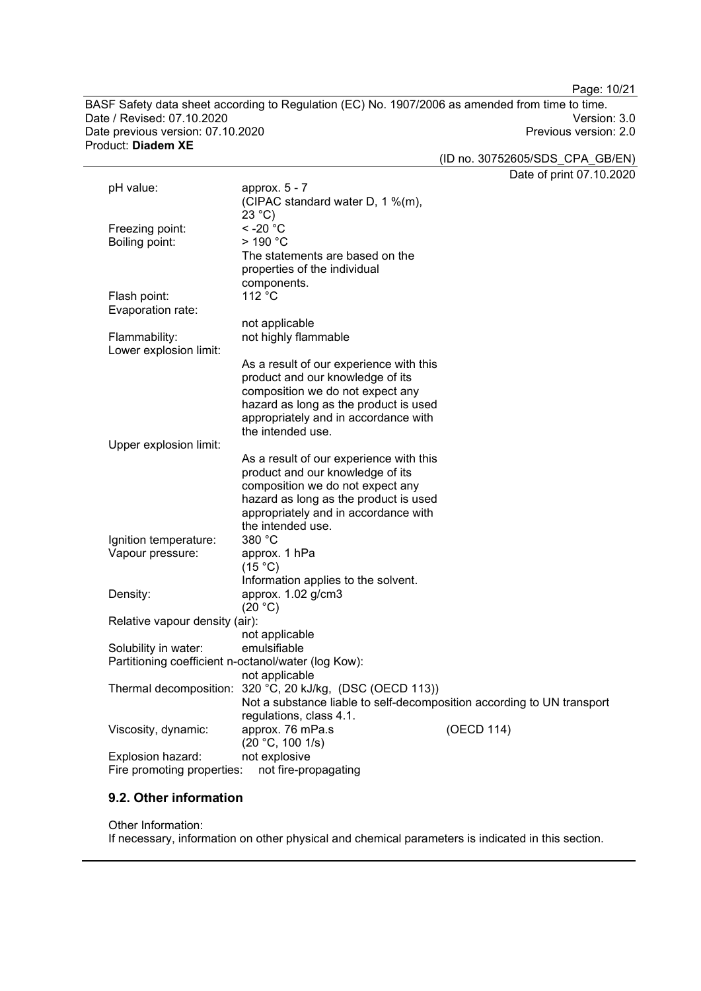Page: 10/21

BASF Safety data sheet according to Regulation (EC) No. 1907/2006 as amended from time to time. Date / Revised: 07.10.2020<br>Date previous version: 07.10.2020 Version: 07.10.2020 Date previous version: 07.10.2020 Product: **Diadem XE**

(ID no. 30752605/SDS\_CPA\_GB/EN)

Date of print 07.10.2020

|                                | Date of print $0$ / .10.2                                              |
|--------------------------------|------------------------------------------------------------------------|
| pH value:                      | approx. 5 - 7                                                          |
|                                | (CIPAC standard water D, 1 %(m),                                       |
|                                | 23 °C                                                                  |
| Freezing point:                | $<$ -20 $^{\circ}$ C                                                   |
| Boiling point:                 | $>190$ °C                                                              |
|                                | The statements are based on the                                        |
|                                | properties of the individual                                           |
|                                | components.                                                            |
| Flash point:                   | 112 °C                                                                 |
| Evaporation rate:              |                                                                        |
|                                | not applicable                                                         |
| Flammability:                  | not highly flammable                                                   |
| Lower explosion limit:         |                                                                        |
|                                | As a result of our experience with this                                |
|                                | product and our knowledge of its                                       |
|                                | composition we do not expect any                                       |
|                                | hazard as long as the product is used                                  |
|                                | appropriately and in accordance with                                   |
|                                | the intended use.                                                      |
| Upper explosion limit:         |                                                                        |
|                                | As a result of our experience with this                                |
|                                | product and our knowledge of its                                       |
|                                | composition we do not expect any                                       |
|                                | hazard as long as the product is used                                  |
|                                | appropriately and in accordance with                                   |
|                                | the intended use.                                                      |
| Ignition temperature:          | 380 °C                                                                 |
| Vapour pressure:               | approx. 1 hPa                                                          |
|                                | (15 °C)                                                                |
|                                | Information applies to the solvent.                                    |
| Density:                       | approx. 1.02 g/cm3                                                     |
|                                | (20 °C)                                                                |
| Relative vapour density (air): |                                                                        |
|                                | not applicable                                                         |
| Solubility in water:           | emulsifiable                                                           |
|                                | Partitioning coefficient n-octanol/water (log Kow):                    |
|                                | not applicable                                                         |
|                                | Thermal decomposition: 320 °C, 20 kJ/kg, (DSC (OECD 113))              |
|                                | Not a substance liable to self-decomposition according to UN transport |
|                                | regulations, class 4.1.                                                |
| Viscosity, dynamic:            | approx. 76 mPa.s<br>(OECD 114)                                         |
|                                | (20 °C, 100 1/s)                                                       |
| Explosion hazard:              | not explosive                                                          |
| Fire promoting properties:     | not fire-propagating                                                   |

## **9.2. Other information**

#### Other Information:

If necessary, information on other physical and chemical parameters is indicated in this section.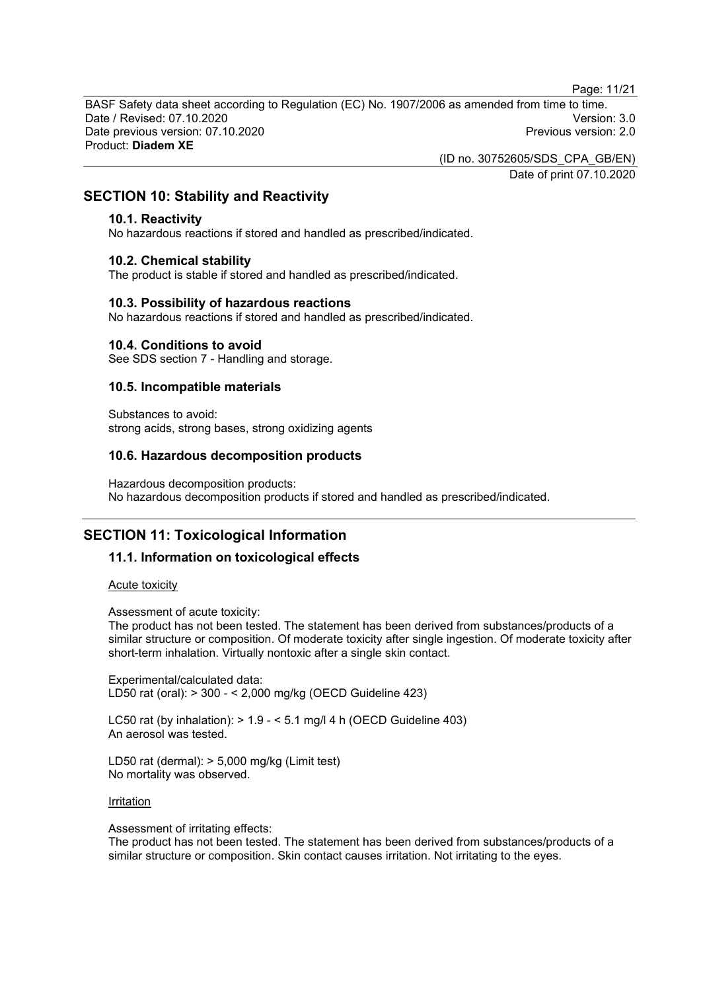Page: 11/21

BASF Safety data sheet according to Regulation (EC) No. 1907/2006 as amended from time to time. Date / Revised: 07.10.2020 Version: 3.0 Date previous version: 07.10.2020 Product: **Diadem XE**

(ID no. 30752605/SDS\_CPA\_GB/EN)

Date of print 07.10.2020

## **SECTION 10: Stability and Reactivity**

#### **10.1. Reactivity**

No hazardous reactions if stored and handled as prescribed/indicated.

#### **10.2. Chemical stability**

The product is stable if stored and handled as prescribed/indicated.

#### **10.3. Possibility of hazardous reactions**

No hazardous reactions if stored and handled as prescribed/indicated.

#### **10.4. Conditions to avoid**

See SDS section 7 - Handling and storage.

#### **10.5. Incompatible materials**

Substances to avoid: strong acids, strong bases, strong oxidizing agents

#### **10.6. Hazardous decomposition products**

Hazardous decomposition products: No hazardous decomposition products if stored and handled as prescribed/indicated.

## **SECTION 11: Toxicological Information**

#### **11.1. Information on toxicological effects**

#### Acute toxicity

Assessment of acute toxicity:

The product has not been tested. The statement has been derived from substances/products of a similar structure or composition. Of moderate toxicity after single ingestion. Of moderate toxicity after short-term inhalation. Virtually nontoxic after a single skin contact.

Experimental/calculated data: LD50 rat (oral): > 300 - < 2,000 mg/kg (OECD Guideline 423)

LC50 rat (by inhalation):  $> 1.9 - 5.1$  mg/l 4 h (OECD Guideline 403) An aerosol was tested.

LD50 rat (dermal): > 5,000 mg/kg (Limit test) No mortality was observed.

#### **Irritation**

Assessment of irritating effects:

The product has not been tested. The statement has been derived from substances/products of a similar structure or composition. Skin contact causes irritation. Not irritating to the eyes.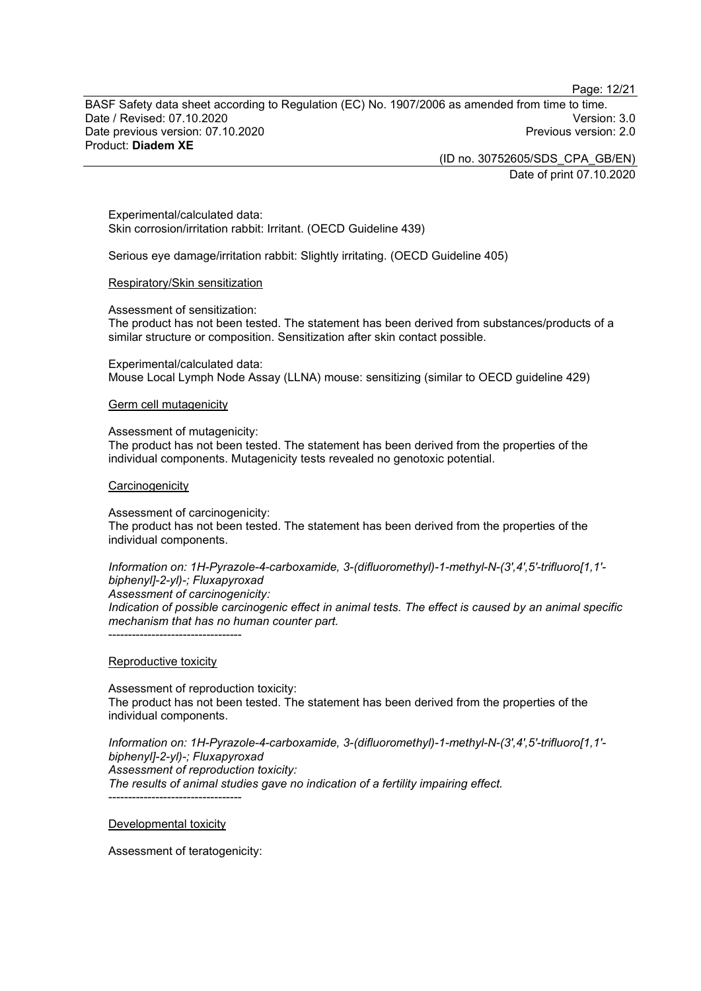Page: 12/21

BASF Safety data sheet according to Regulation (EC) No. 1907/2006 as amended from time to time. Date / Revised: 07.10.2020 Version: 3.0 Date previous version: 07.10.2020 Product: **Diadem XE**

> (ID no. 30752605/SDS\_CPA\_GB/EN) Date of print 07.10.2020

Experimental/calculated data: Skin corrosion/irritation rabbit: Irritant. (OECD Guideline 439)

Serious eye damage/irritation rabbit: Slightly irritating. (OECD Guideline 405)

#### Respiratory/Skin sensitization

Assessment of sensitization:

The product has not been tested. The statement has been derived from substances/products of a similar structure or composition. Sensitization after skin contact possible.

Experimental/calculated data: Mouse Local Lymph Node Assay (LLNA) mouse: sensitizing (similar to OECD guideline 429)

#### Germ cell mutagenicity

Assessment of mutagenicity: The product has not been tested. The statement has been derived from the properties of the

individual components. Mutagenicity tests revealed no genotoxic potential.

#### **Carcinogenicity**

Assessment of carcinogenicity: The product has not been tested. The statement has been derived from the properties of the individual components.

*Information on: 1H-Pyrazole-4-carboxamide, 3-(difluoromethyl)-1-methyl-N-(3',4',5'-trifluoro[1,1' biphenyl]-2-yl)-; Fluxapyroxad Assessment of carcinogenicity: Indication of possible carcinogenic effect in animal tests. The effect is caused by an animal specific mechanism that has no human counter part.*

Reproductive toxicity

----------------------------------

Assessment of reproduction toxicity: The product has not been tested. The statement has been derived from the properties of the individual components.

*Information on: 1H-Pyrazole-4-carboxamide, 3-(difluoromethyl)-1-methyl-N-(3',4',5'-trifluoro[1,1' biphenyl]-2-yl)-; Fluxapyroxad Assessment of reproduction toxicity: The results of animal studies gave no indication of a fertility impairing effect.*

Developmental toxicity

----------------------------------

Assessment of teratogenicity: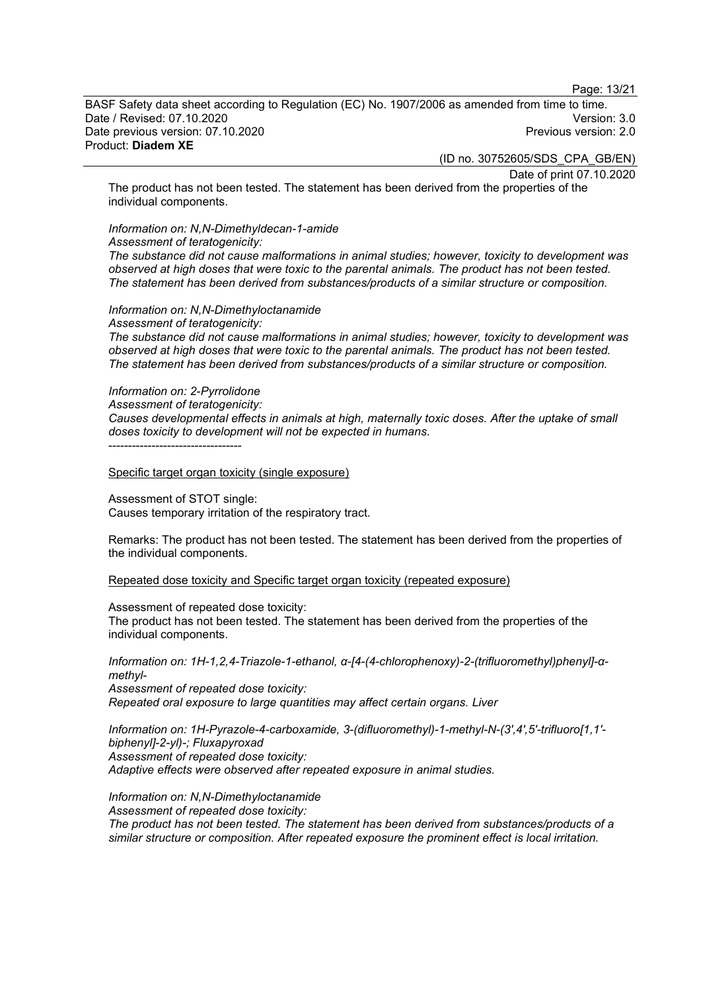Page: 13/21

BASF Safety data sheet according to Regulation (EC) No. 1907/2006 as amended from time to time. Date / Revised: 07.10.2020 Version: 3.0 Date previous version: 07.10.2020 Product: **Diadem XE**

(ID no. 30752605/SDS\_CPA\_GB/EN)

Date of print 07.10.2020

The product has not been tested. The statement has been derived from the properties of the individual components.

## *Information on: N,N-Dimethyldecan-1-amide*

*Assessment of teratogenicity:*

*The substance did not cause malformations in animal studies; however, toxicity to development was observed at high doses that were toxic to the parental animals. The product has not been tested. The statement has been derived from substances/products of a similar structure or composition.*

## *Information on: N,N-Dimethyloctanamide*

*Assessment of teratogenicity: The substance did not cause malformations in animal studies; however, toxicity to development was observed at high doses that were toxic to the parental animals. The product has not been tested. The statement has been derived from substances/products of a similar structure or composition.*

#### *Information on: 2-Pyrrolidone*

*Assessment of teratogenicity:*

*Causes developmental effects in animals at high, maternally toxic doses. After the uptake of small doses toxicity to development will not be expected in humans.*

----------------------------------

Specific target organ toxicity (single exposure)

Assessment of STOT single: Causes temporary irritation of the respiratory tract.

Remarks: The product has not been tested. The statement has been derived from the properties of the individual components.

Repeated dose toxicity and Specific target organ toxicity (repeated exposure)

Assessment of repeated dose toxicity:

The product has not been tested. The statement has been derived from the properties of the individual components.

*Information on: 1H-1,2,4-Triazole-1-ethanol, α-[4-(4-chlorophenoxy)-2-(trifluoromethyl)phenyl]-αmethyl-*

*Assessment of repeated dose toxicity: Repeated oral exposure to large quantities may affect certain organs. Liver*

*Information on: 1H-Pyrazole-4-carboxamide, 3-(difluoromethyl)-1-methyl-N-(3',4',5'-trifluoro[1,1' biphenyl]-2-yl)-; Fluxapyroxad Assessment of repeated dose toxicity: Adaptive effects were observed after repeated exposure in animal studies.*

*Information on: N,N-Dimethyloctanamide Assessment of repeated dose toxicity: The product has not been tested. The statement has been derived from substances/products of a similar structure or composition. After repeated exposure the prominent effect is local irritation.*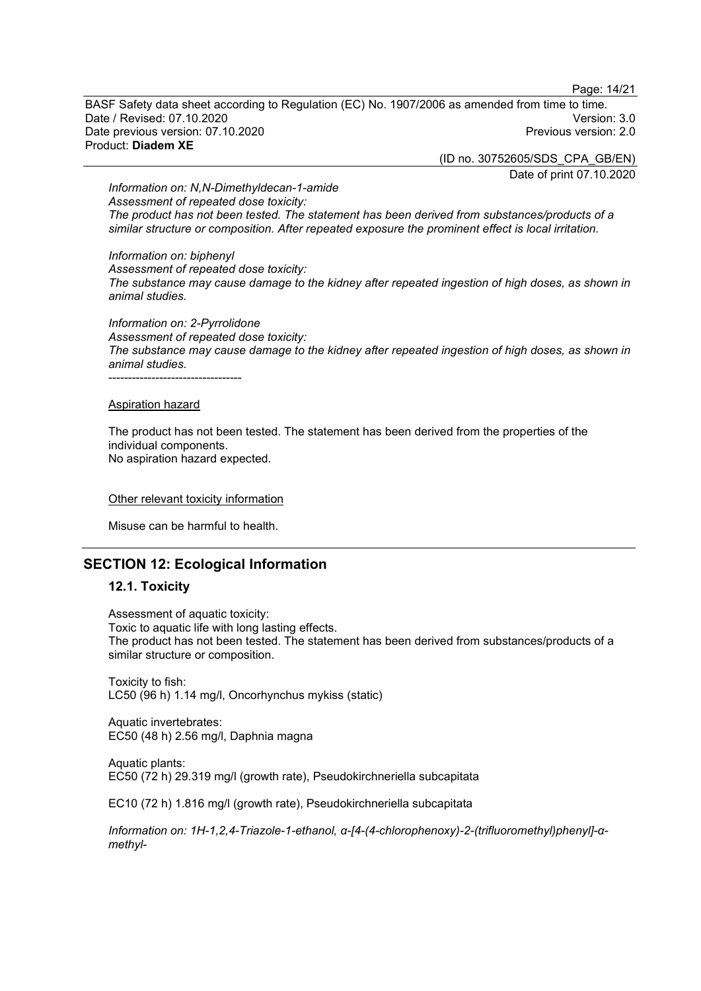Page: 14/21

BASF Safety data sheet according to Regulation (EC) No. 1907/2006 as amended from time to time. Date / Revised: 07.10.2020 Version: 3.0 Date previous version: 07.10.2020 Product: **Diadem XE**

(ID no. 30752605/SDS\_CPA\_GB/EN)

Date of print 07.10.2020

*Information on: N,N-Dimethyldecan-1-amide Assessment of repeated dose toxicity: The product has not been tested. The statement has been derived from substances/products of a similar structure or composition. After repeated exposure the prominent effect is local irritation.*

*Information on: biphenyl*

*Assessment of repeated dose toxicity: The substance may cause damage to the kidney after repeated ingestion of high doses, as shown in animal studies.*

*Information on: 2-Pyrrolidone Assessment of repeated dose toxicity: The substance may cause damage to the kidney after repeated ingestion of high doses, as shown in animal studies.* ----------------------------------

#### Aspiration hazard

The product has not been tested. The statement has been derived from the properties of the individual components. No aspiration hazard expected.

#### Other relevant toxicity information

Misuse can be harmful to health.

#### **SECTION 12: Ecological Information**

#### **12.1. Toxicity**

Assessment of aquatic toxicity: Toxic to aquatic life with long lasting effects. The product has not been tested. The statement has been derived from substances/products of a similar structure or composition.

Toxicity to fish: LC50 (96 h) 1.14 mg/l, Oncorhynchus mykiss (static)

Aquatic invertebrates: EC50 (48 h) 2.56 mg/l, Daphnia magna

Aquatic plants: EC50 (72 h) 29.319 mg/l (growth rate), Pseudokirchneriella subcapitata

EC10 (72 h) 1.816 mg/l (growth rate), Pseudokirchneriella subcapitata

*Information on: 1H-1,2,4-Triazole-1-ethanol, α-[4-(4-chlorophenoxy)-2-(trifluoromethyl)phenyl]-αmethyl-*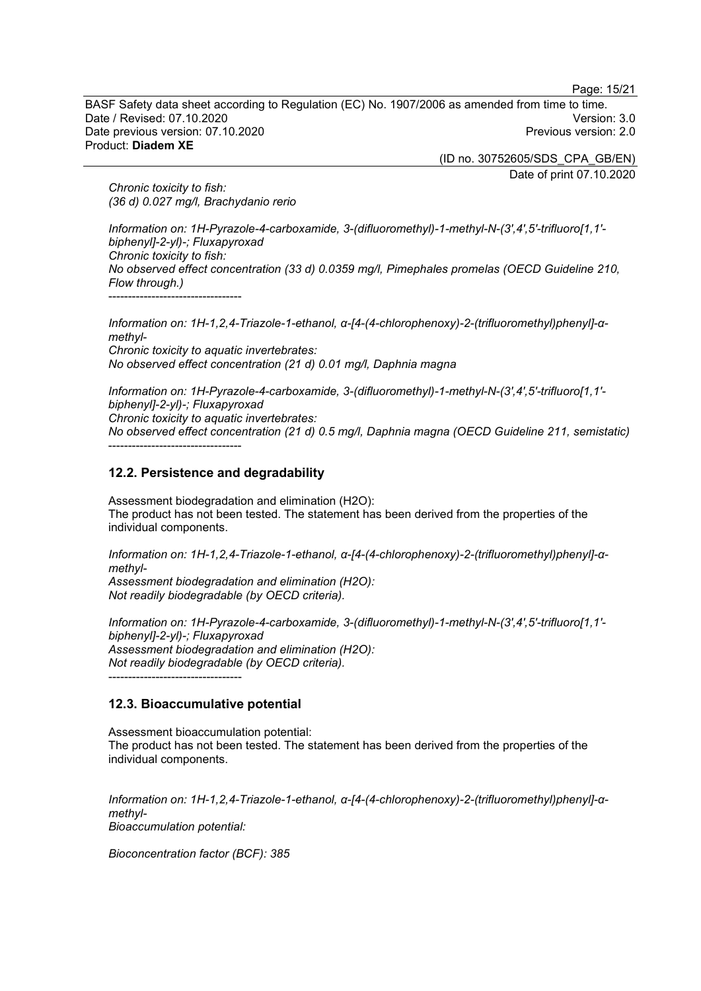Page: 15/21

BASF Safety data sheet according to Regulation (EC) No. 1907/2006 as amended from time to time. Date / Revised: 07.10.2020 Version: 3.0 Date previous version: 07.10.2020 Product: **Diadem XE**

> (ID no. 30752605/SDS\_CPA\_GB/EN) Date of print 07.10.2020

*Chronic toxicity to fish: (36 d) 0.027 mg/l, Brachydanio rerio*

*Information on: 1H-Pyrazole-4-carboxamide, 3-(difluoromethyl)-1-methyl-N-(3',4',5'-trifluoro[1,1' biphenyl]-2-yl)-; Fluxapyroxad Chronic toxicity to fish: No observed effect concentration (33 d) 0.0359 mg/l, Pimephales promelas (OECD Guideline 210, Flow through.)* ----------------------------------

*Information on: 1H-1,2,4-Triazole-1-ethanol, α-[4-(4-chlorophenoxy)-2-(trifluoromethyl)phenyl]-αmethyl-Chronic toxicity to aquatic invertebrates: No observed effect concentration (21 d) 0.01 mg/l, Daphnia magna*

*Information on: 1H-Pyrazole-4-carboxamide, 3-(difluoromethyl)-1-methyl-N-(3',4',5'-trifluoro[1,1' biphenyl]-2-yl)-; Fluxapyroxad Chronic toxicity to aquatic invertebrates: No observed effect concentration (21 d) 0.5 mg/l, Daphnia magna (OECD Guideline 211, semistatic)* ----------------------------------

## **12.2. Persistence and degradability**

Assessment biodegradation and elimination (H2O): The product has not been tested. The statement has been derived from the properties of the individual components.

*Information on: 1H-1,2,4-Triazole-1-ethanol, α-[4-(4-chlorophenoxy)-2-(trifluoromethyl)phenyl]-αmethyl-Assessment biodegradation and elimination (H2O): Not readily biodegradable (by OECD criteria).*

*Information on: 1H-Pyrazole-4-carboxamide, 3-(difluoromethyl)-1-methyl-N-(3',4',5'-trifluoro[1,1' biphenyl]-2-yl)-; Fluxapyroxad Assessment biodegradation and elimination (H2O): Not readily biodegradable (by OECD criteria).* ----------------------------------

#### **12.3. Bioaccumulative potential**

Assessment bioaccumulation potential: The product has not been tested. The statement has been derived from the properties of the individual components.

*Information on: 1H-1,2,4-Triazole-1-ethanol, α-[4-(4-chlorophenoxy)-2-(trifluoromethyl)phenyl]-αmethyl-Bioaccumulation potential:*

*Bioconcentration factor (BCF): 385*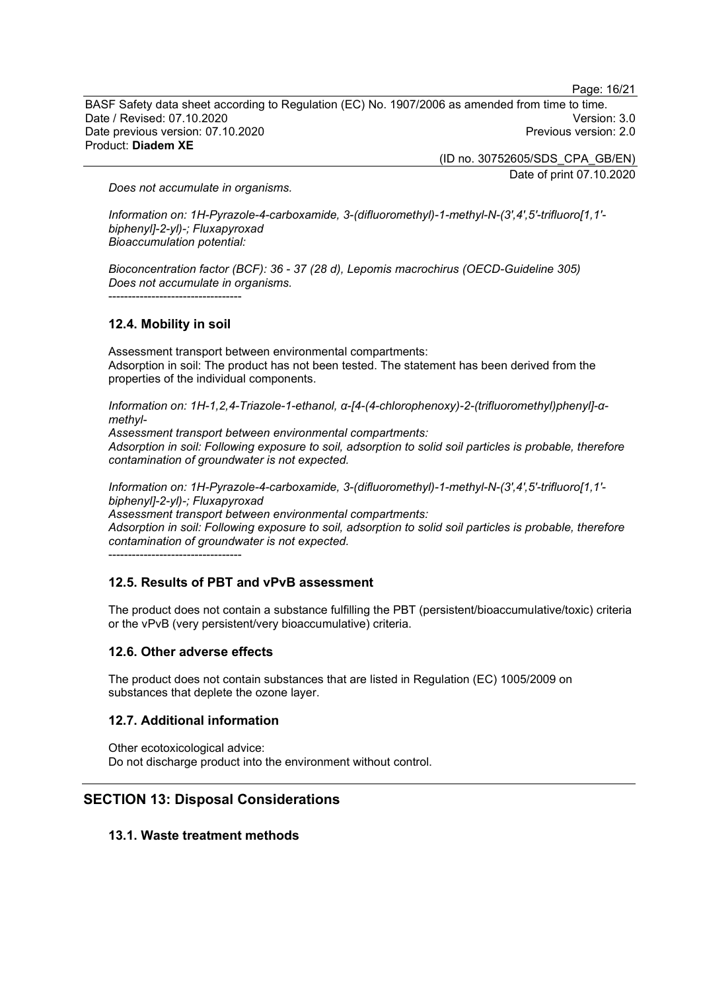Page: 16/21

BASF Safety data sheet according to Regulation (EC) No. 1907/2006 as amended from time to time. Date / Revised: 07.10.2020 Version: 3.0 Date previous version: 07.10.2020 Product: **Diadem XE**

> (ID no. 30752605/SDS\_CPA\_GB/EN) Date of print 07.10.2020

*Does not accumulate in organisms.*

*Information on: 1H-Pyrazole-4-carboxamide, 3-(difluoromethyl)-1-methyl-N-(3',4',5'-trifluoro[1,1' biphenyl]-2-yl)-; Fluxapyroxad Bioaccumulation potential:*

*Bioconcentration factor (BCF): 36 - 37 (28 d), Lepomis macrochirus (OECD-Guideline 305) Does not accumulate in organisms.* ----------------------------------

#### **12.4. Mobility in soil**

Assessment transport between environmental compartments: Adsorption in soil: The product has not been tested. The statement has been derived from the properties of the individual components.

*Information on: 1H-1,2,4-Triazole-1-ethanol, α-[4-(4-chlorophenoxy)-2-(trifluoromethyl)phenyl]-αmethyl-*

*Assessment transport between environmental compartments: Adsorption in soil: Following exposure to soil, adsorption to solid soil particles is probable, therefore contamination of groundwater is not expected.*

*Information on: 1H-Pyrazole-4-carboxamide, 3-(difluoromethyl)-1-methyl-N-(3',4',5'-trifluoro[1,1' biphenyl]-2-yl)-; Fluxapyroxad*

*Assessment transport between environmental compartments:*

*Adsorption in soil: Following exposure to soil, adsorption to solid soil particles is probable, therefore contamination of groundwater is not expected.*

----------------------------------

#### **12.5. Results of PBT and vPvB assessment**

The product does not contain a substance fulfilling the PBT (persistent/bioaccumulative/toxic) criteria or the vPvB (very persistent/very bioaccumulative) criteria.

#### **12.6. Other adverse effects**

The product does not contain substances that are listed in Regulation (EC) 1005/2009 on substances that deplete the ozone layer.

#### **12.7. Additional information**

Other ecotoxicological advice: Do not discharge product into the environment without control.

## **SECTION 13: Disposal Considerations**

#### **13.1. Waste treatment methods**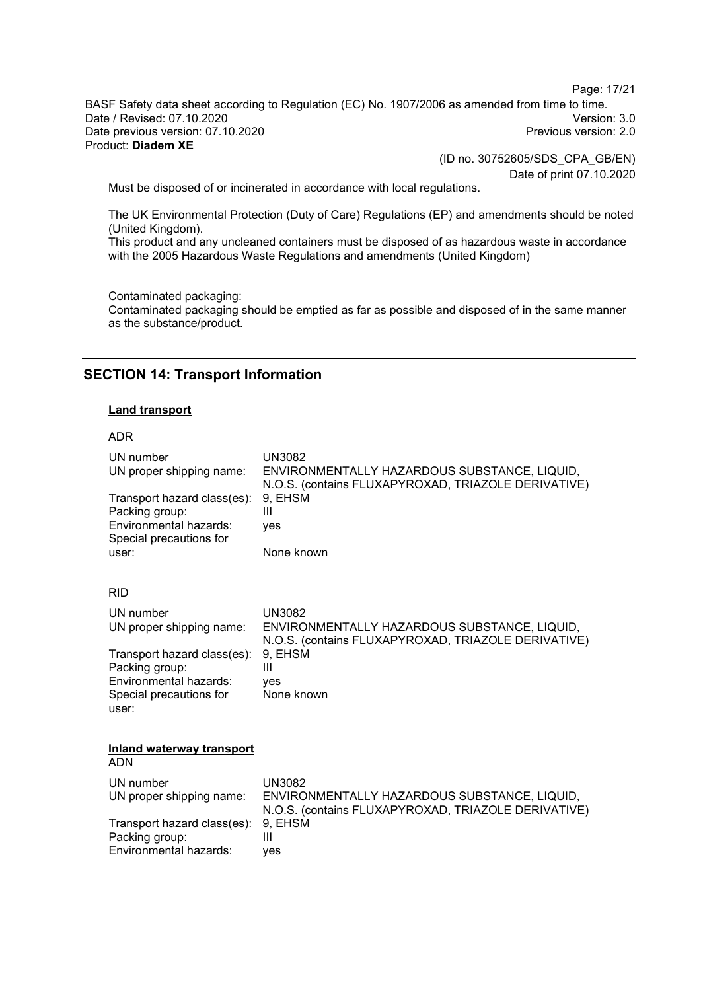Page: 17/21

BASF Safety data sheet according to Regulation (EC) No. 1907/2006 as amended from time to time. Date / Revised: 07.10.2020<br>Date previous version: 07.10.2020 Version: 3.0 Date previous version: 07.10.2020 Product: **Diadem XE**

(ID no. 30752605/SDS\_CPA\_GB/EN)

Date of print 07.10.2020

Must be disposed of or incinerated in accordance with local regulations.

The UK Environmental Protection (Duty of Care) Regulations (EP) and amendments should be noted (United Kingdom).

This product and any uncleaned containers must be disposed of as hazardous waste in accordance with the 2005 Hazardous Waste Regulations and amendments (United Kingdom)

Contaminated packaging:

Contaminated packaging should be emptied as far as possible and disposed of in the same manner as the substance/product.

## **SECTION 14: Transport Information**

#### **Land transport**

#### ADR

| UN number<br>UN proper shipping name:<br>Transport hazard class(es):                               | <b>UN3082</b><br>ENVIRONMENTALLY HAZARDOUS SUBSTANCE, LIQUID,<br>N.O.S. (contains FLUXAPYROXAD, TRIAZOLE DERIVATIVE)<br>9, EHSM |
|----------------------------------------------------------------------------------------------------|---------------------------------------------------------------------------------------------------------------------------------|
| Packing group:<br>Environmental hazards:<br>Special precautions for                                | Ш<br>yes                                                                                                                        |
| user:                                                                                              | None known                                                                                                                      |
| <b>RID</b>                                                                                         |                                                                                                                                 |
| UN number<br>UN proper shipping name:                                                              | <b>UN3082</b><br>ENVIRONMENTALLY HAZARDOUS SUBSTANCE, LIQUID,<br>N.O.S. (contains FLUXAPYROXAD, TRIAZOLE DERIVATIVE)            |
| Transport hazard class(es):<br>Packing group:<br>Environmental hazards:<br>Special precautions for | 9, EHSM<br>Ш<br>ves<br>None known                                                                                               |
| user:                                                                                              |                                                                                                                                 |
| Inland waterway transport<br>ADN                                                                   |                                                                                                                                 |
| UN number                                                                                          | <b>UN3082</b>                                                                                                                   |
| UN proper shipping name:                                                                           | ENVIRONMENTALLY HAZARDOUS SUBSTANCE, LIQUID,<br>N.O.S. (contains FLUXAPYROXAD, TRIAZOLE DERIVATIVE)                             |
| Transport hazard class(es):<br>Packing group:                                                      | 9, EHSM<br>Ш                                                                                                                    |
| Environmental hazards:                                                                             | ves                                                                                                                             |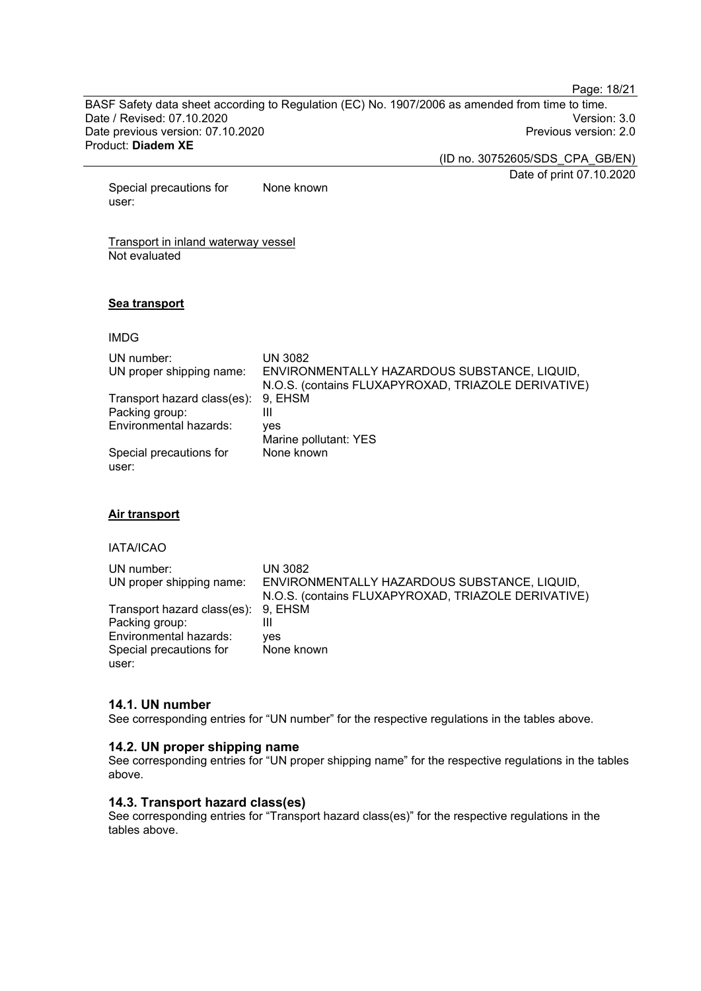Page: 18/21

BASF Safety data sheet according to Regulation (EC) No. 1907/2006 as amended from time to time. Date / Revised: 07.10.2020<br>Date previous version: 07.10.2020 Version: 3.0 Date previous version: 07.10.2020 Product: **Diadem XE**

(ID no. 30752605/SDS\_CPA\_GB/EN)

Date of print 07.10.2020

Special precautions for user: None known

Transport in inland waterway vessel Not evaluated

#### **Sea transport**

#### IMDG

| UN number:<br>UN proper shipping name: | UN 3082<br>ENVIRONMENTALLY HAZARDOUS SUBSTANCE, LIQUID,<br>N.O.S. (contains FLUXAPYROXAD, TRIAZOLE DERIVATIVE) |
|----------------------------------------|----------------------------------------------------------------------------------------------------------------|
| Transport hazard class(es): 9, EHSM    |                                                                                                                |
| Packing group:                         | Ш                                                                                                              |
| Environmental hazards:                 | ves                                                                                                            |
|                                        | Marine pollutant: YES                                                                                          |
| Special precautions for<br>user:       | None known                                                                                                     |

#### **Air transport**

#### IATA/ICAO

| UN number:<br>UN proper shipping name:                | <b>UN 3082</b><br>ENVIRONMENTALLY HAZARDOUS SUBSTANCE, LIQUID,<br>N.O.S. (contains FLUXAPYROXAD, TRIAZOLE DERIVATIVE) |
|-------------------------------------------------------|-----------------------------------------------------------------------------------------------------------------------|
| Transport hazard class(es): 9, EHSM<br>Packing group: | Ш                                                                                                                     |
| Environmental hazards:<br>Special precautions for     | yes<br>None known                                                                                                     |
| user:                                                 |                                                                                                                       |

#### **14.1. UN number**

See corresponding entries for "UN number" for the respective regulations in the tables above.

#### **14.2. UN proper shipping name**

See corresponding entries for "UN proper shipping name" for the respective regulations in the tables above.

#### **14.3. Transport hazard class(es)**

See corresponding entries for "Transport hazard class(es)" for the respective regulations in the tables above.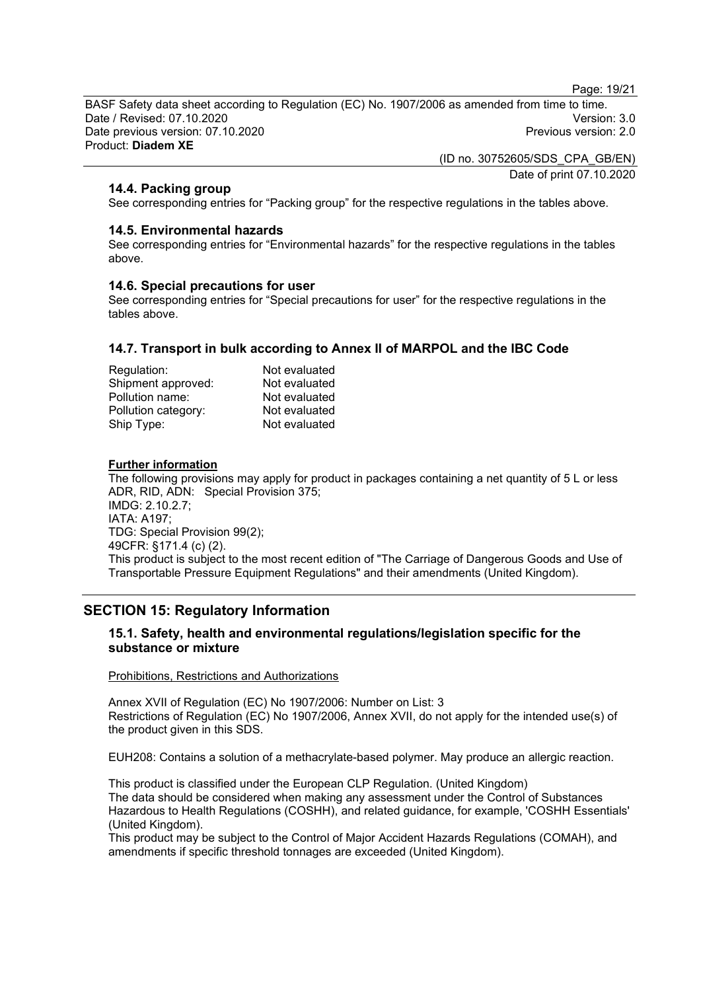Page: 19/21

BASF Safety data sheet according to Regulation (EC) No. 1907/2006 as amended from time to time. Date / Revised: 07.10.2020 Version: 3.0 Date previous version: 07.10.2020 Product: **Diadem XE**

> (ID no. 30752605/SDS\_CPA\_GB/EN) Date of print 07.10.2020

#### **14.4. Packing group**

See corresponding entries for "Packing group" for the respective regulations in the tables above.

#### **14.5. Environmental hazards**

See corresponding entries for "Environmental hazards" for the respective regulations in the tables above.

#### **14.6. Special precautions for user**

See corresponding entries for "Special precautions for user" for the respective regulations in the tables above.

#### **14.7. Transport in bulk according to Annex II of MARPOL and the IBC Code**

| Regulation:         | Not evaluated |
|---------------------|---------------|
| Shipment approved:  | Not evaluated |
| Pollution name:     | Not evaluated |
| Pollution category: | Not evaluated |
| Ship Type:          | Not evaluated |

#### **Further information**

The following provisions may apply for product in packages containing a net quantity of 5 L or less ADR, RID, ADN: Special Provision 375; IMDG: 2.10.2.7; IATA: A197; TDG: Special Provision 99(2); 49CFR: §171.4 (c) (2). This product is subject to the most recent edition of "The Carriage of Dangerous Goods and Use of Transportable Pressure Equipment Regulations" and their amendments (United Kingdom).

## **SECTION 15: Regulatory Information**

#### **15.1. Safety, health and environmental regulations/legislation specific for the substance or mixture**

#### Prohibitions, Restrictions and Authorizations

Annex XVII of Regulation (EC) No 1907/2006: Number on List: 3 Restrictions of Regulation (EC) No 1907/2006, Annex XVII, do not apply for the intended use(s) of the product given in this SDS.

EUH208: Contains a solution of a methacrylate-based polymer. May produce an allergic reaction.

This product is classified under the European CLP Regulation. (United Kingdom) The data should be considered when making any assessment under the Control of Substances Hazardous to Health Regulations (COSHH), and related guidance, for example, 'COSHH Essentials' (United Kingdom).

This product may be subject to the Control of Major Accident Hazards Regulations (COMAH), and amendments if specific threshold tonnages are exceeded (United Kingdom).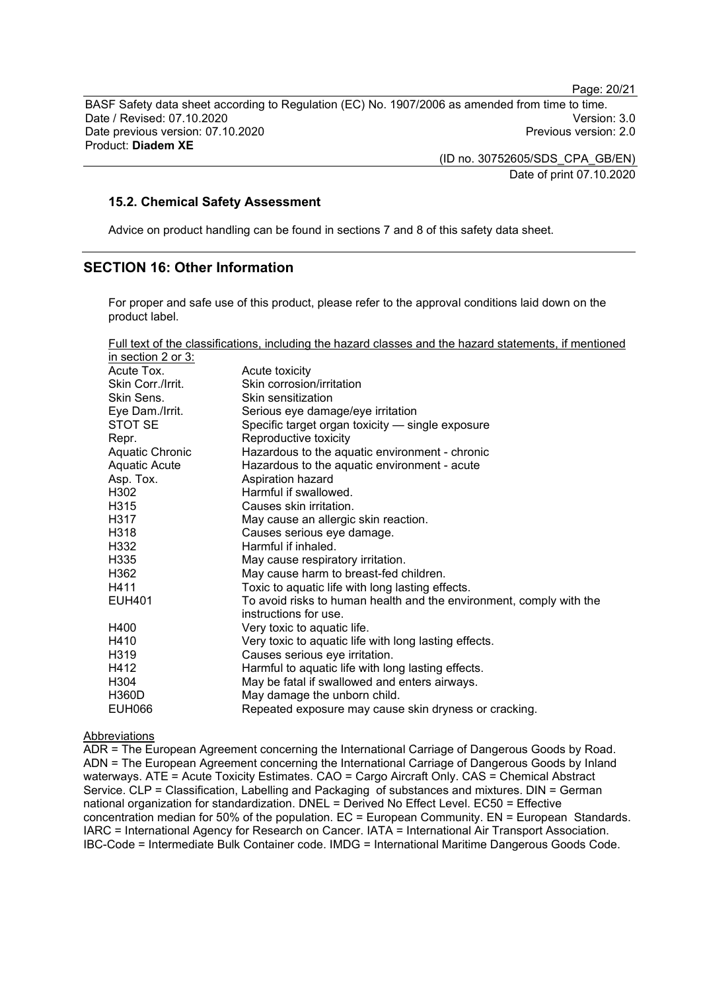Page: 20/21

BASF Safety data sheet according to Regulation (EC) No. 1907/2006 as amended from time to time. Date / Revised: 07.10.2020<br>Date previous version: 07.10.2020 Version: 3.0 Date previous version: 07.10.2020 Product: **Diadem XE**

> (ID no. 30752605/SDS\_CPA\_GB/EN) Date of print 07.10.2020

#### **15.2. Chemical Safety Assessment**

Advice on product handling can be found in sections 7 and 8 of this safety data sheet.

## **SECTION 16: Other Information**

For proper and safe use of this product, please refer to the approval conditions laid down on the product label.

| Full text of the classifications, including the hazard classes and the hazard statements, if mentioned |
|--------------------------------------------------------------------------------------------------------|
|--------------------------------------------------------------------------------------------------------|

| in section 2 or $3:$   |                                                                                              |
|------------------------|----------------------------------------------------------------------------------------------|
| Acute Tox.             | Acute toxicity                                                                               |
| Skin Corr./Irrit.      | Skin corrosion/irritation                                                                    |
| Skin Sens.             | Skin sensitization                                                                           |
| Eye Dam./Irrit.        | Serious eye damage/eye irritation                                                            |
| STOT SE                | Specific target organ toxicity - single exposure                                             |
| Repr.                  | Reproductive toxicity                                                                        |
| <b>Aquatic Chronic</b> | Hazardous to the aquatic environment - chronic                                               |
| <b>Aquatic Acute</b>   | Hazardous to the aquatic environment - acute                                                 |
| Asp. Tox.              | Aspiration hazard                                                                            |
| H302                   | Harmful if swallowed.                                                                        |
| H315                   | Causes skin irritation.                                                                      |
| H317                   | May cause an allergic skin reaction.                                                         |
| H318                   | Causes serious eye damage.                                                                   |
| H332                   | Harmful if inhaled.                                                                          |
| H335                   | May cause respiratory irritation.                                                            |
| H362                   | May cause harm to breast-fed children.                                                       |
| H411                   | Toxic to aquatic life with long lasting effects.                                             |
| <b>EUH401</b>          | To avoid risks to human health and the environment, comply with the<br>instructions for use. |
| H400                   | Very toxic to aquatic life.                                                                  |
| H410                   | Very toxic to aquatic life with long lasting effects.                                        |
| H319                   | Causes serious eye irritation.                                                               |
| H412                   | Harmful to aquatic life with long lasting effects.                                           |
| H304                   | May be fatal if swallowed and enters airways.                                                |
| <b>H360D</b>           | May damage the unborn child.                                                                 |
| <b>EUH066</b>          | Repeated exposure may cause skin dryness or cracking.                                        |
|                        |                                                                                              |

#### Abbreviations

ADR = The European Agreement concerning the International Carriage of Dangerous Goods by Road. ADN = The European Agreement concerning the International Carriage of Dangerous Goods by Inland waterways. ATE = Acute Toxicity Estimates. CAO = Cargo Aircraft Only. CAS = Chemical Abstract Service. CLP = Classification, Labelling and Packaging of substances and mixtures. DIN = German national organization for standardization. DNEL = Derived No Effect Level. EC50 = Effective concentration median for 50% of the population. EC = European Community. EN = European Standards. IARC = International Agency for Research on Cancer. IATA = International Air Transport Association. IBC-Code = Intermediate Bulk Container code. IMDG = International Maritime Dangerous Goods Code.